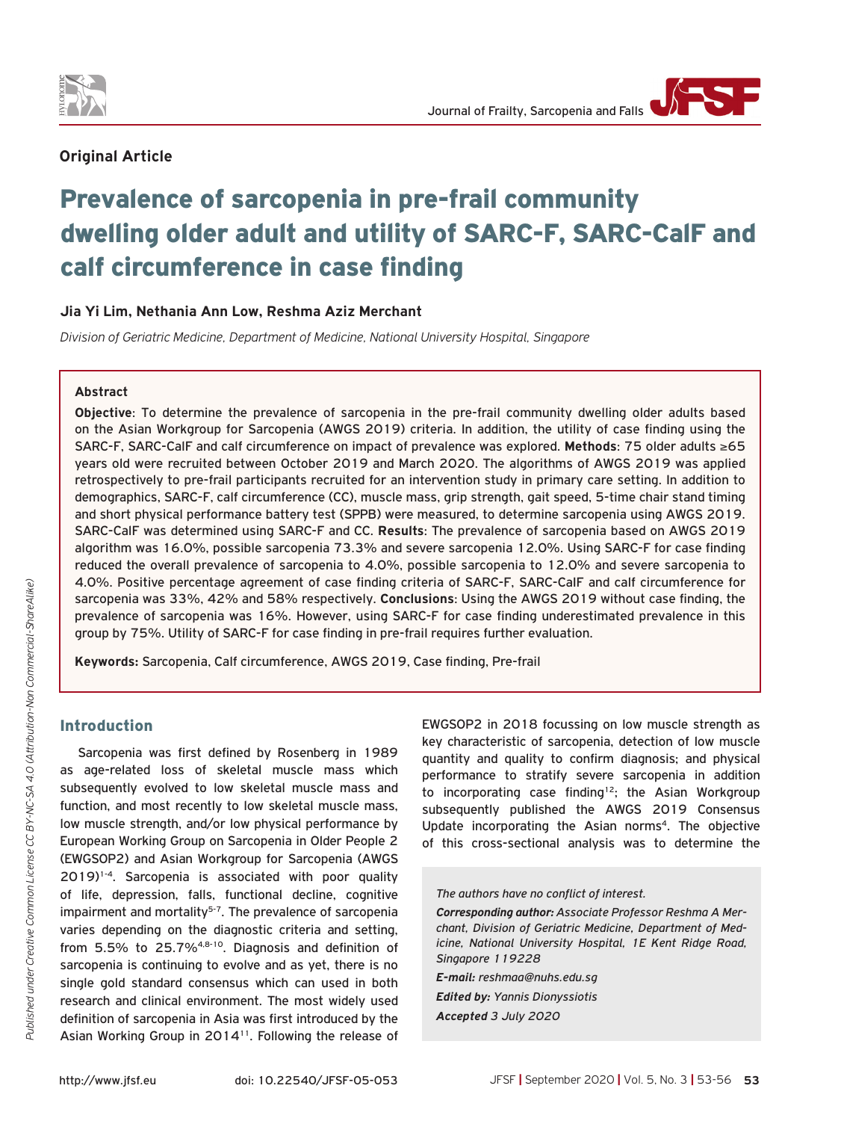

# **Original Article**

# Prevalence of sarcopenia in pre-frail community dwelling older adult and utility of SARC-F, SARC-CalF and calf circumference in case finding

## **Jia Yi Lim, Nethania Ann Low, Reshma Aziz Merchant**

*Division of Geriatric Medicine, Department of Medicine, National University Hospital, Singapore*

#### **Abstract**

**Objective**: To determine the prevalence of sarcopenia in the pre-frail community dwelling older adults based on the Asian Workgroup for Sarcopenia (AWGS 2019) criteria. In addition, the utility of case finding using the SARC-F, SARC-CalF and calf circumference on impact of prevalence was explored. **Methods**: 75 older adults ≥65 years old were recruited between October 2019 and March 2020. The algorithms of AWGS 2019 was applied retrospectively to pre-frail participants recruited for an intervention study in primary care setting. In addition to demographics, SARC-F, calf circumference (CC), muscle mass, grip strength, gait speed, 5-time chair stand timing and short physical performance battery test (SPPB) were measured, to determine sarcopenia using AWGS 2019. SARC-CalF was determined using SARC-F and CC. **Results**: The prevalence of sarcopenia based on AWGS 2019 algorithm was 16.0%, possible sarcopenia 73.3% and severe sarcopenia 12.0%. Using SARC-F for case finding reduced the overall prevalence of sarcopenia to 4.0%, possible sarcopenia to 12.0% and severe sarcopenia to 4.0%. Positive percentage agreement of case finding criteria of SARC-F, SARC-CaIF and calf circumference for sarcopenia was 33%, 42% and 58% respectively. **Conclusions**: Using the AWGS 2019 without case finding, the prevalence of sarcopenia was 16%. However, using SARC-F for case finding underestimated prevalence in this group by 75%. Utility of SARC-F for case finding in pre-frail requires further evaluation.

**Keywords:** Sarcopenia, Calf circumference, AWGS 2019, Case finding, Pre-frail

# Introduction

Sarcopenia was first defined by Rosenberg in 1989 as age-related loss of skeletal muscle mass which subsequently evolved to low skeletal muscle mass and function, and most recently to low skeletal muscle mass, low muscle strength, and/or low physical performance by European Working Group on Sarcopenia in Older People 2 (EWGSOP2) and Asian Workgroup for Sarcopenia (AWGS 2019)1-4. Sarcopenia is associated with poor quality of life, depression, falls, functional decline, cognitive impairment and mortality<sup>5-7</sup>. The prevalence of sarcopenia varies depending on the diagnostic criteria and setting, from 5.5% to 25.7%4,8-10. Diagnosis and definition of sarcopenia is continuing to evolve and as yet, there is no single gold standard consensus which can used in both research and clinical environment. The most widely used definition of sarcopenia in Asia was first introduced by the Asian Working Group in 2014<sup>11</sup>. Following the release of

EWGSOP2 in 2018 focussing on low muscle strength as key characteristic of sarcopenia, detection of low muscle quantity and quality to confirm diagnosis; and physical performance to stratify severe sarcopenia in addition to incorporating case finding<sup>12</sup>; the Asian Workgroup subsequently published the AWGS 2019 Consensus Update incorporating the Asian norms<sup>4</sup>. The objective of this cross-sectional analysis was to determine the

*The authors have no conflict of interest.*

*Corresponding author: Associate Professor Reshma A Merchant, Division of Geriatric Medicine, Department of Medicine, National University Hospital, 1E Kent Ridge Road, Singapore 119228* 

*E-mail: reshmaa@nuhs.edu.sg Edited by: Yannis Dionyssiotis Accepted 3 July 2020*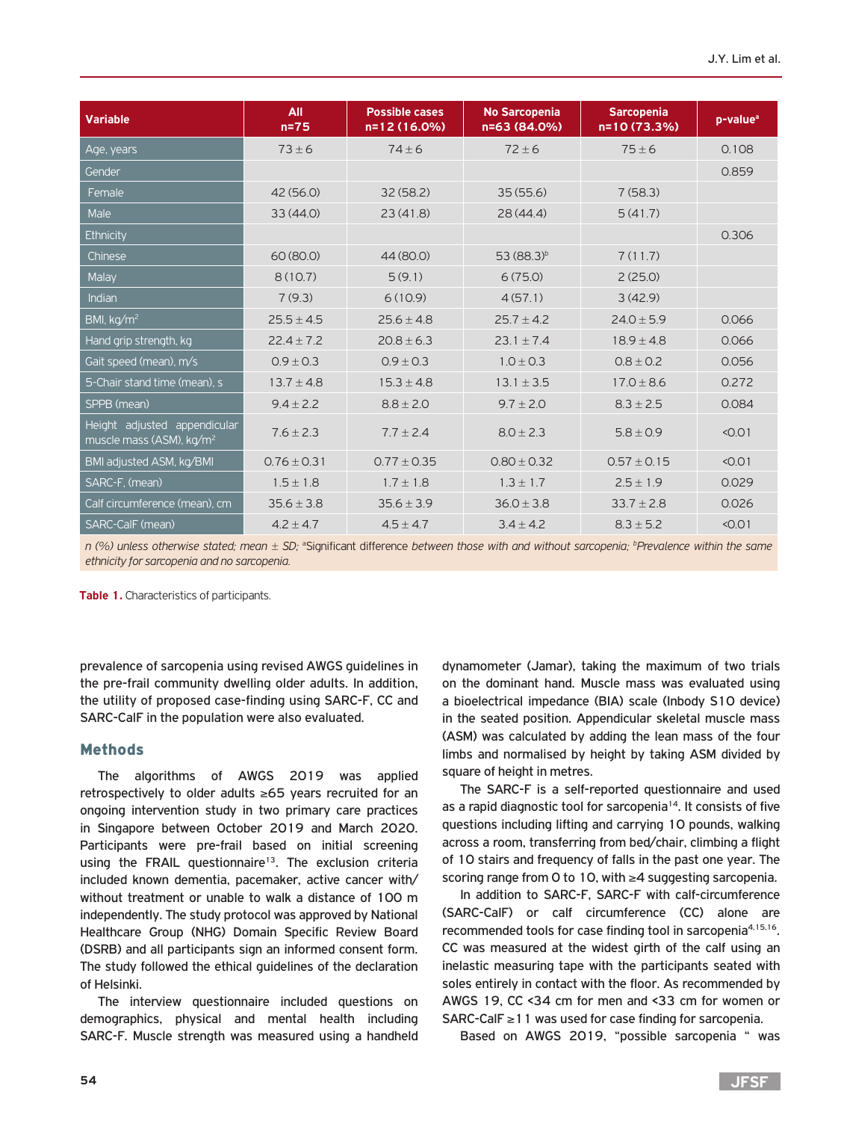| <b>Variable</b>                                                      | All<br>$n=75$  | <b>Possible cases</b><br>n=12 (16.0%) | <b>No Sarcopenia</b><br>n=63 (84.0%) | <b>Sarcopenia</b><br>n=10(73.3%) | p-value <sup>a</sup> |
|----------------------------------------------------------------------|----------------|---------------------------------------|--------------------------------------|----------------------------------|----------------------|
| Age, years                                                           | $73 \pm 6$     | $74 + 6$                              | $72 + 6$                             | $75 + 6$                         | 0.108                |
| Gender                                                               |                |                                       |                                      |                                  | 0.859                |
| Female                                                               | 42(56.0)       | 32(58.2)                              | 35(55.6)                             | 7(58.3)                          |                      |
| Male                                                                 | 33(44.0)       | 23(41.8)                              | 28(44.4)                             | 5(41.7)                          |                      |
| Ethnicity                                                            |                |                                       |                                      |                                  | 0.306                |
| Chinese                                                              | 60 (80.0)      | 44(80.0)                              | $53 (88.3)^b$                        | 7(11.7)                          |                      |
| Malay                                                                | 8(10.7)        | 5(9.1)                                | 6(75.0)                              | 2(25.0)                          |                      |
| Indian                                                               | 7(9.3)         | 6(10.9)                               | 4(57.1)                              | 3(42.9)                          |                      |
| BMI, kg/m <sup>2</sup>                                               | $25.5 + 4.5$   | $25.6 + 4.8$                          | $25.7 + 4.2$                         | $24.0 + 5.9$                     | 0.066                |
| Hand grip strength, kg                                               | $22.4 \pm 7.2$ | $20.8 \pm 6.3$                        | $23.1 + 7.4$                         | $18.9 + 4.8$                     | 0.066                |
| Gait speed (mean), m/s                                               | $0.9 + 0.3$    | $0.9 + 0.3$                           | $1.0 + 0.3$                          | $0.8 + 0.2$                      | 0.056                |
| 5-Chair stand time (mean), s                                         | $13.7 + 4.8$   | $15.3 \pm 4.8$                        | $13.1 \pm 3.5$                       | $17.0 \pm 8.6$                   | 0.272                |
| SPPB (mean)                                                          | $9.4 + 2.2$    | $8.8 + 2.0$                           | $9.7 + 2.0$                          | $8.3 + 2.5$                      | 0.084                |
| Height adjusted appendicular<br>muscle mass (ASM), kg/m <sup>2</sup> | $7.6 + 2.3$    | $7.7 + 2.4$                           | $8.0 + 2.3$                          | $5.8 + 0.9$                      | < 0.01               |
| BMI adjusted ASM, kg/BMI                                             | $0.76 + 0.31$  | $0.77 + 0.35$                         | $0.80 + 0.32$                        | $0.57 + 0.15$                    | < 0.01               |
| SARC-F, (mean)                                                       | $1.5 + 1.8$    | $1.7 + 1.8$                           | $1.3 + 1.7$                          | $2.5 + 1.9$                      | 0.029                |
| Calf circumference (mean), cm                                        | $35.6 + 3.8$   | $35.6 + 3.9$                          | $36.0 + 3.8$                         | $33.7 + 2.8$                     | 0.026                |
| SARC-CalF (mean)                                                     | $4.2 \pm 4.7$  | $4.5 \pm 4.7$                         | $3.4 \pm 4.2$                        | $8.3 \pm 5.2$                    | < 0.01               |

*n* (%) unless otherwise stated; mean  $\pm$  SD; <sup>a</sup>Significant difference between those with and without sarcopenia; <sup>b</sup>Prevalence within the same *ethnicity for sarcopenia and no sarcopenia.*

**Table 1.** Characteristics of participants.

prevalence of sarcopenia using revised AWGS guidelines in the pre-frail community dwelling older adults. In addition, the utility of proposed case-finding using SARC-F, CC and SARC-CalF in the population were also evaluated.

### Methods

The algorithms of AWGS 2019 was applied retrospectively to older adults ≥65 years recruited for an ongoing intervention study in two primary care practices in Singapore between October 2019 and March 2020. Participants were pre-frail based on initial screening using the FRAIL questionnaire<sup>13</sup>. The exclusion criteria included known dementia, pacemaker, active cancer with/ without treatment or unable to walk a distance of 100 m independently. The study protocol was approved by National Healthcare Group (NHG) Domain Specific Review Board (DSRB) and all participants sign an informed consent form. The study followed the ethical guidelines of the declaration of Helsinki.

The interview questionnaire included questions on demographics, physical and mental health including SARC-F. Muscle strength was measured using a handheld dynamometer (Jamar), taking the maximum of two trials on the dominant hand. Muscle mass was evaluated using a bioelectrical impedance (BIA) scale (Inbody S10 device) in the seated position. Appendicular skeletal muscle mass (ASM) was calculated by adding the lean mass of the four limbs and normalised by height by taking ASM divided by square of height in metres.

The SARC-F is a self-reported questionnaire and used as a rapid diagnostic tool for sarcopenia<sup>14</sup>. It consists of five questions including lifting and carrying 10 pounds, walking across a room, transferring from bed/chair, climbing a flight of 10 stairs and frequency of falls in the past one year. The scoring range from 0 to 10, with ≥4 suggesting sarcopenia.

In addition to SARC-F, SARC-F with calf-circumference (SARC-CalF) or calf circumference (CC) alone are recommended tools for case finding tool in sarcopenia<sup>4,15,16</sup>. CC was measured at the widest girth of the calf using an inelastic measuring tape with the participants seated with soles entirely in contact with the floor. As recommended by AWGS 19, CC <34 cm for men and <33 cm for women or SARC-CalF  $≥11$  was used for case finding for sarcopenia.

Based on AWGS 2019, "possible sarcopenia " was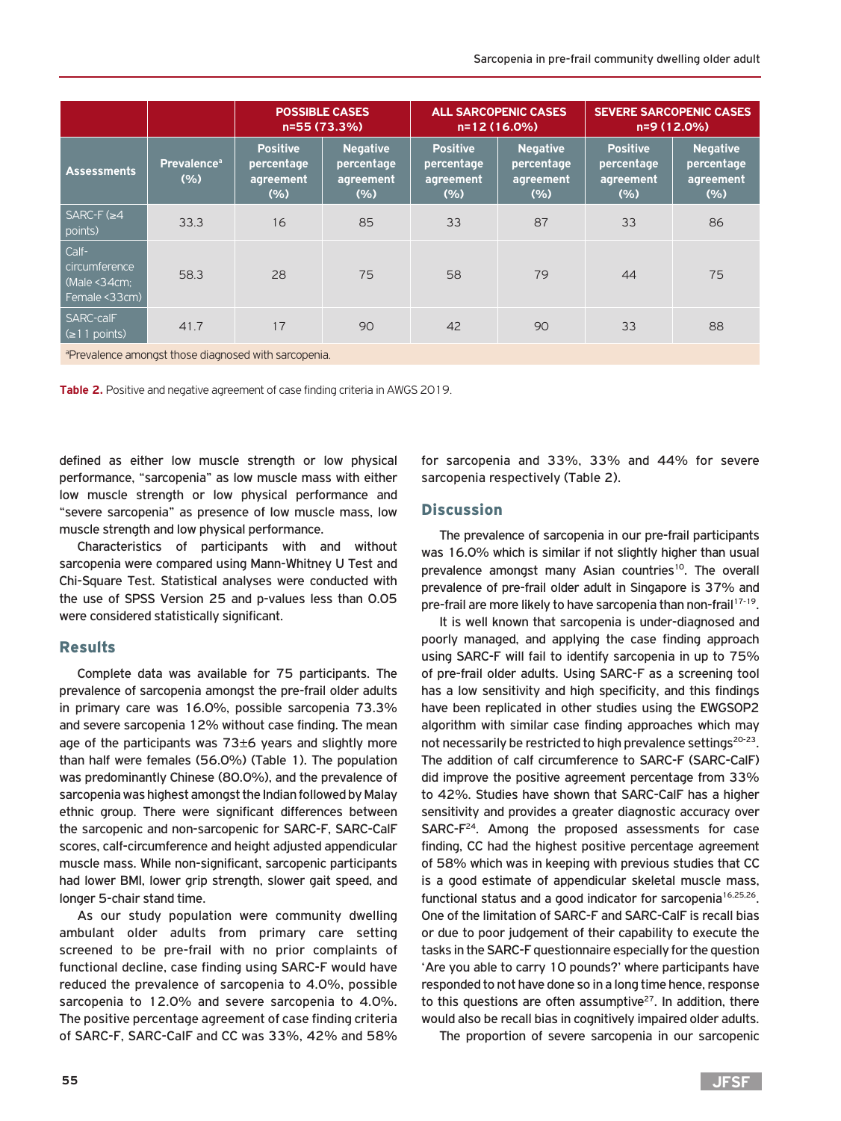|                                                          |                                        | <b>POSSIBLE CASES</b><br>n=55 (73.3%)             |                                                   | <b>ALL SARCOPENIC CASES</b><br>n=12 (16.0%)       |                                                   | <b>SEVERE SARCOPENIC CASES</b><br>n=9 (12.0%)      |                                                   |
|----------------------------------------------------------|----------------------------------------|---------------------------------------------------|---------------------------------------------------|---------------------------------------------------|---------------------------------------------------|----------------------------------------------------|---------------------------------------------------|
| <b>Assessments</b>                                       | <b>Prevalence</b> <sup>a</sup><br>(% ) | <b>Positive</b><br>percentage<br>agreement<br>(%) | <b>Negative</b><br>percentage<br>agreement<br>(%) | <b>Positive</b><br>percentage<br>agreement<br>(%) | <b>Negative</b><br>percentage<br>agreement<br>(%) | <b>Positive</b><br>percentage<br>agreement<br>(% ) | <b>Negative</b><br>percentage<br>agreement<br>(%) |
| $SARC-F$ ( $\geq 4$<br>points)                           | 33.3                                   | 16                                                | 85                                                | 33                                                | 87                                                | 33                                                 | 86                                                |
| Calf-<br>circumference<br>(Male < 34cm)<br>Female <33cm) | 58.3                                   | 28                                                | 75                                                | 58                                                | 79                                                | 44                                                 | 75                                                |
| <b>SARC-calF</b><br>$\leq 11$ points)                    | 41.7                                   | 17                                                | 90                                                | 42                                                | 90                                                | 33                                                 | 88                                                |

aPrevalence amongst those diagnosed with sarcopenia.

**Table 2.** Positive and negative agreement of case finding criteria in AWGS 2019.

defined as either low muscle strength or low physical performance, "sarcopenia" as low muscle mass with either low muscle strength or low physical performance and "severe sarcopenia" as presence of low muscle mass, low muscle strength and low physical performance.

Characteristics of participants with and without sarcopenia were compared using Mann-Whitney U Test and Chi-Square Test. Statistical analyses were conducted with the use of SPSS Version 25 and p-values less than 0.05 were considered statistically significant.

### Results

Complete data was available for 75 participants. The prevalence of sarcopenia amongst the pre-frail older adults in primary care was 16.0%, possible sarcopenia 73.3% and severe sarcopenia 12% without case finding. The mean age of the participants was  $73\pm6$  years and slightly more than half were females (56.0%) (Table 1). The population was predominantly Chinese (80.0%), and the prevalence of sarcopenia was highest amongst the Indian followed by Malay ethnic group. There were significant differences between the sarcopenic and non-sarcopenic for SARC-F, SARC-CalF scores, calf-circumference and height adjusted appendicular muscle mass. While non-significant, sarcopenic participants had lower BMI, lower grip strength, slower gait speed, and longer 5-chair stand time.

As our study population were community dwelling ambulant older adults from primary care setting screened to be pre-frail with no prior complaints of functional decline, case finding using SARC-F would have reduced the prevalence of sarcopenia to 4.0%, possible sarcopenia to 12.0% and severe sarcopenia to 4.0%. The positive percentage agreement of case finding criteria of SARC-F, SARC-CaIF and CC was 33%, 42% and 58% for sarcopenia and 33%, 33% and 44% for severe sarcopenia respectively (Table 2).

## **Discussion**

The prevalence of sarcopenia in our pre-frail participants was 16.0% which is similar if not slightly higher than usual prevalence amongst many Asian countries<sup>10</sup>. The overall prevalence of pre-frail older adult in Singapore is 37% and pre-frail are more likely to have sarcopenia than non-frail<sup>17-19</sup>.

It is well known that sarcopenia is under-diagnosed and poorly managed, and applying the case finding approach using SARC-F will fail to identify sarcopenia in up to 75% of pre-frail older adults. Using SARC-F as a screening tool has a low sensitivity and high specificity, and this findings have been replicated in other studies using the EWGSOP2 algorithm with similar case finding approaches which may not necessarily be restricted to high prevalence settings<sup>20-23</sup>. The addition of calf circumference to SARC-F (SARC-CalF) did improve the positive agreement percentage from 33% to 42%. Studies have shown that SARC-CalF has a higher sensitivity and provides a greater diagnostic accuracy over SARC-F24. Among the proposed assessments for case finding, CC had the highest positive percentage agreement of 58% which was in keeping with previous studies that CC is a good estimate of appendicular skeletal muscle mass, functional status and a good indicator for sarcopenia<sup>16,25,26</sup>. One of the limitation of SARC-F and SARC-CalF is recall bias or due to poor judgement of their capability to execute the tasks in the SARC-F questionnaire especially for the question 'Are you able to carry 10 pounds?' where participants have responded to not have done so in a long time hence, response to this questions are often assumptive $27$ . In addition, there would also be recall bias in cognitively impaired older adults.

The proportion of severe sarcopenia in our sarcopenic